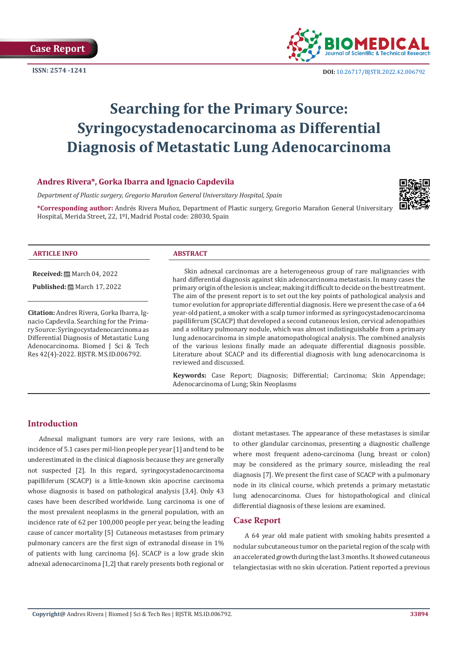

# **Searching for the Primary Source: Syringocystadenocarcinoma as Differential Diagnosis of Metastatic Lung Adenocarcinoma**

## **Andres Rivera\*, Gorka Ibarra and Ignacio Capdevila**

*Department of Plastic surgery, Gregorio Marañon General Universitary Hospital, Spain*

**\*Corresponding author:** Andrés Rivera Muñoz, Department of Plastic surgery, Gregorio Marañon General Universitary Hospital, Merida Street, 22, 1ºI, Madrid Postal code: 28030, Spain



#### **ARTICLE INFO ABSTRACT**

**Received:** 圖 March 04, 2022

**Published:** ■ March 17, 2022

**Citation:** Andres Rivera, Gorka Ibarra, Ignacio Capdevila. Searching for the Primary Source: Syringocystadenocarcinoma as Differential Diagnosis of Metastatic Lung Adenocarcinoma. Biomed J Sci & Tech Res 42(4)-2022. BJSTR. MS.ID.006792.

Skin adnexal carcinomas are a heterogeneous group of rare malignancies with hard differential diagnosis against skin adenocarcinoma metastasis. In many cases the primary origin of the lesion is unclear, making it difficult to decide on the best treatment. The aim of the present report is to set out the key points of pathological analysis and tumor evolution for appropriate differential diagnosis. Here we present the case of a 64 year-old patient, a smoker with a scalp tumor informed as syringocystadenocarcinoma papilliferum (SCACP) that developed a second cutaneous lesion, cervical adenopathies and a solitary pulmonary nodule, which was almost indistinguishable from a primary lung adenocarcinoma in simple anatomopathological analysis. The combined analysis of the various lesions finally made an adequate differential diagnosis possible. Literature about SCACP and its differential diagnosis with lung adenocarcinoma is reviewed and discussed.

**Keywords:** Case Report; Diagnosis; Differential; Carcinoma; Skin Appendage; Adenocarcinoma of Lung; Skin Neoplasms

# **Introduction**

Adnexal malignant tumors are very rare lesions, with an incidence of 5.1 cases per mil-lion people per year [1] and tend to be underestimated in the clinical diagnosis because they are generally not suspected [2]. In this regard, syringocystadenocarcinoma papilliferum (SCACP) is a little-known skin apocrine carcinoma whose diagnosis is based on pathological analysis [3,4]. Only 43 cases have been described worldwide. Lung carcinoma is one of the most prevalent neoplasms in the general population, with an incidence rate of 62 per 100,000 people per year, being the leading cause of cancer mortality [5]. Cutaneous metastases from primary pulmonary cancers are the first sign of extranodal disease in 1% of patients with lung carcinoma [6]. SCACP is a low grade skin adnexal adenocarcinoma [1,2] that rarely presents both regional or

distant metastases. The appearance of these metastases is similar to other glandular carcinomas, presenting a diagnostic challenge where most frequent adeno-carcinoma (lung, breast or colon) may be considered as the primary source, misleading the real diagnosis [7]. We present the first case of SCACP with a pulmonary node in its clinical course, which pretends a primary metastatic lung adenocarcinoma. Clues for histopathological and clinical differential diagnosis of these lesions are examined.

### **Case Report**

A 64 year old male patient with smoking habits presented a nodular subcutaneous tumor on the parietal region of the scalp with an accelerated growth during the last 3 months. It showed cutaneous telangiectasias with no skin ulceration. Patient reported a previous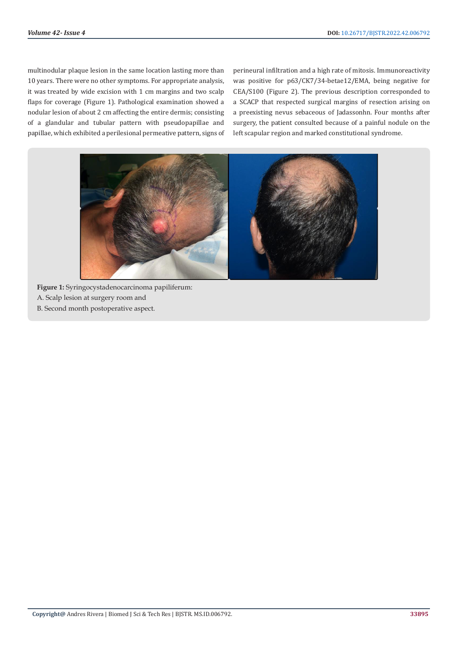multinodular plaque lesion in the same location lasting more than 10 years. There were no other symptoms. For appropriate analysis, it was treated by wide excision with 1 cm margins and two scalp flaps for coverage (Figure 1). Pathological examination showed a nodular lesion of about 2 cm affecting the entire dermis; consisting of a glandular and tubular pattern with pseudopapillae and papillae, which exhibited a perilesional permeative pattern, signs of perineural infiltration and a high rate of mitosis. Immunoreactivity was positive for p63/CK7/34-betae12/EMA, being negative for CEA/S100 (Figure 2). The previous description corresponded to a SCACP that respected surgical margins of resection arising on a preexisting nevus sebaceous of Jadassonhn. Four months after surgery, the patient consulted because of a painful nodule on the left scapular region and marked constitutional syndrome.



**Figure 1:** Syringocystadenocarcinoma papiliferum: A. Scalp lesion at surgery room and B. Second month postoperative aspect.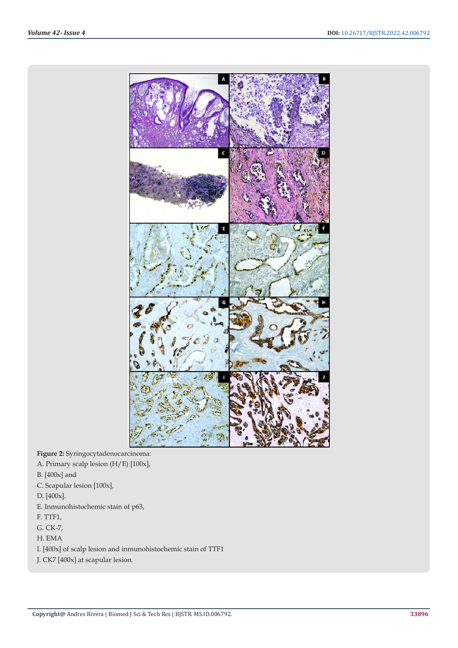

**Figure 2:** Syringocytadenocarcinoma:

- A. Primary scalp lesion (H/E) [100x],
- B. [400x] and
- C. Scapular lesion [100x],
- D. [400x].
- E. Inmunohistochemic stain of p63,
- F. TTF1,
- G. CK-7,
- H. EMA
- I. [400x] of scalp lesion and inmunohistochemic stain of TTF1
- J. CK7 [400x] at scapular lesion.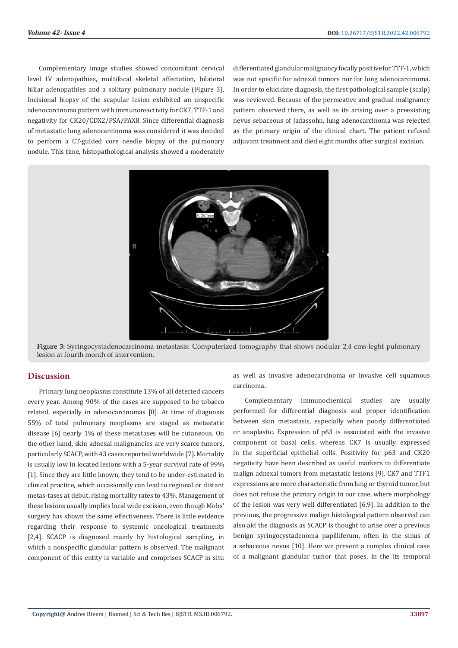Complementary image studies showed concomitant cervical level IV adenopathies, multifocal skeletal affectation, bilateral hiliar adenopathies and a solitary pulmonary nodule (Figure 3). Incisional biopsy of the scapular lesion exhibited an unspecific adenocarcinoma pattern with immunoreactivity for CK7, TTF-1 and negativity for CK20/CDX2/PSA/PAX8. Since differential diagnosis of metastatic lung adenocarcinoma was considered it was decided to perform a CT-guided core needle biopsy of the pulmonary nodule. This time, histopathological analysis showed a moderately

differentiated glandular malignancy focally positive for TTF-1, which was not specific for adnexal tumors nor for lung adenocarcinoma. In order to elucidate diagnosis, the first pathological sample (scalp) was reviewed. Because of the permeative and gradual malignancy pattern observed there, as well as its arising over a preexisting nevus sebaceous of Jadassohn, lung adenocarcinoma was rejected as the primary origin of the clinical chart. The patient refused adjuvant treatment and died eight months after surgical excision.



**Figure 3:** Syringocystadenocarcinoma metastasis: Computerized tomography that shows nodular 2,4 cms-leght pulmonary lesion at fourth month of intervention.

#### **Discussion**

Primary lung neoplasms constitute 13% of all detected cancers every year. Among 90% of the cases are supposed to be tobacco related, especially in adenocarcinomas [8]. At time of diagnosis 55% of total pulmonary neoplasms are staged as metastatic disease [6] nearly 1% of these metastases will be cutaneous. On the other hand, skin adnexal malignancies are very scarce tumors, particularly SCACP, with 43 cases reported worldwide [7]. Mortality is usually low in located lesions with a 5-year survival rate of 99% [1]. Since they are little known, they tend to be under-estimated in clinical practice, which occasionally can lead to regional or distant metas-tases at debut, rising mortality rates to 43%. Management of these lesions usually implies local wide excision, even though Mohs' surgery has shown the same effectiveness. There is little evidence regarding their response to systemic oncological treatments [2,4]. SCACP is diagnosed mainly by histological sampling, in which a nonspecific glandular pattern is observed. The malignant component of this entity is variable and comprises SCACP in situ

as well as invasive adenocarcinoma or invasive cell squamous carcinoma.

Complementary immunochemical studies are usually performed for differential diagnosis and proper identification between skin metastasis, especially when poorly differentiated or anaplastic. Expression of p63 is associated with the invasive component of basal cells, whereas CK7 is usually expressed in the superficial epithelial cells. Positivity for p63 and CK20 negativity have been described as useful markers to differentiate malign adnexal tumors from metastatic lesions [9]. CK7 and TTF1 expressions are more characteristic from lung or thyroid tumor, but does not refuse the primary origin in our case, where morphology of the lesion was very well differentiated [6,9]. In addition to the previous, the progressive malign histological pattern observed can also aid the diagnosis as SCACP is thought to arise over a previous benign syringocystadenoma papilliferum, often in the sinus of a sebaceous nevus [10]. Here we present a complex clinical case of a malignant glandular tumor that poses, in the its temporal